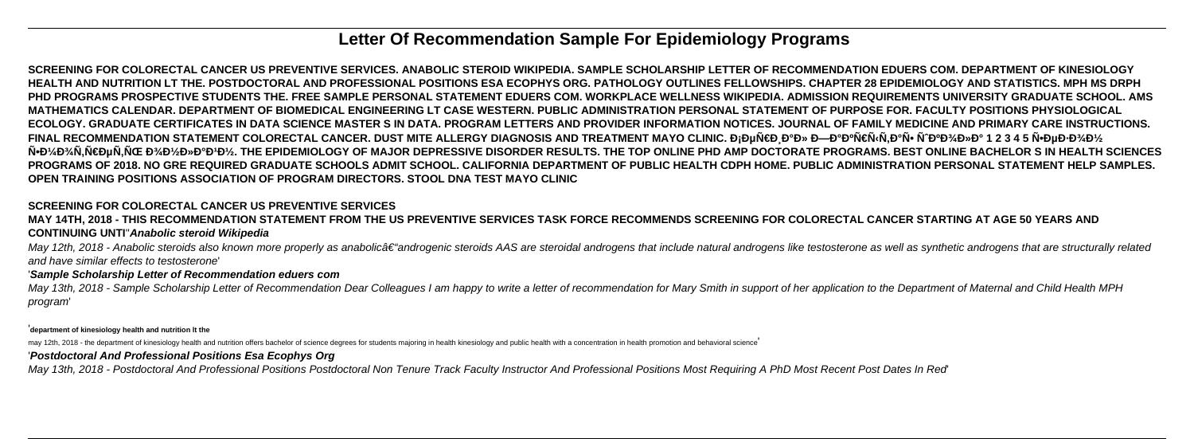# **Letter Of Recommendation Sample For Epidemiology Programs**

**SCREENING FOR COLORECTAL CANCER US PREVENTIVE SERVICES. ANABOLIC STEROID WIKIPEDIA. SAMPLE SCHOLARSHIP LETTER OF RECOMMENDATION EDUERS COM. DEPARTMENT OF KINESIOLOGY HEALTH AND NUTRITION LT THE. POSTDOCTORAL AND PROFESSIONAL POSITIONS ESA ECOPHYS ORG. PATHOLOGY OUTLINES FELLOWSHIPS. CHAPTER 28 EPIDEMIOLOGY AND STATISTICS. MPH MS DRPH PHD PROGRAMS PROSPECTIVE STUDENTS THE. FREE SAMPLE PERSONAL STATEMENT EDUERS COM. WORKPLACE WELLNESS WIKIPEDIA. ADMISSION REQUIREMENTS UNIVERSITY GRADUATE SCHOOL. AMS MATHEMATICS CALENDAR. DEPARTMENT OF BIOMEDICAL ENGINEERING LT CASE WESTERN. PUBLIC ADMINISTRATION PERSONAL STATEMENT OF PURPOSE FOR. FACULTY POSITIONS PHYSIOLOGICAL ECOLOGY. GRADUATE CERTIFICATES IN DATA SCIENCE MASTER S IN DATA. PROGRAM LETTERS AND PROVIDER INFORMATION NOTICES. JOURNAL OF FAMILY MEDICINE AND PRIMARY CARE INSTRUCTIONS.** FINAL RECOMMENDATION STATEMENT COLORECTAL CANCER. DUST MITE ALLERGY DIAGNOSIS AND TREATMENT MAYO CLINIC. Đ<sub>I</sub>еÑ€Đ¸Đ°Đ» ЗаĐºÑ€Ñ‹Ñ,аÑ• шĐºĐ¾Đ»Đ° 1 2 3 4 5 Ñ•ĐµĐ·Đ¾Đ½ N•Đ¼Đ¾N,Ñ€ĐµÑ,ÑŒ Đ¾Đ½Đ»Đ°Đ<sup>1</sup>Đ½. THE EPIDEMIOLOGY OF MAJOR DEPRESSIVE DISORDER RESULTS. THE TOP ONLINE PHD AMP DOCTORATE PROGRAMS. BEST ONLINE BACHELOR S IN HEALTH SCIENCES **PROGRAMS OF 2018. NO GRE REQUIRED GRADUATE SCHOOLS ADMIT SCHOOL. CALIFORNIA DEPARTMENT OF PUBLIC HEALTH CDPH HOME. PUBLIC ADMINISTRATION PERSONAL STATEMENT HELP SAMPLES. OPEN TRAINING POSITIONS ASSOCIATION OF PROGRAM DIRECTORS. STOOL DNA TEST MAYO CLINIC**

May 12th, 2018 - Anabolic steroids also known more properly as anabolic†"androgenic steroids AAS are steroidal androgens that include natural androgens like testosterone as well as synthetic androgens that are structura and have similar effects to testosterone'

May 13th, 2018 - Sample Scholarship Letter of Recommendation Dear Colleagues I am happy to write a letter of recommendation for Mary Smith in support of her application to the Department of Maternal and Child Health MPH program'

### **SCREENING FOR COLORECTAL CANCER US PREVENTIVE SERVICES**

**MAY 14TH, 2018 - THIS RECOMMENDATION STATEMENT FROM THE US PREVENTIVE SERVICES TASK FORCE RECOMMENDS SCREENING FOR COLORECTAL CANCER STARTING AT AGE 50 YEARS AND CONTINUING UNTI**''**Anabolic steroid Wikipedia**

#### '**Sample Scholarship Letter of Recommendation eduers com**

'**department of kinesiology health and nutrition lt the**

may 12th, 2018 - the department of kinesiology health and nutrition offers bachelor of science degrees for students majoring in health kinesiology and public health with a concentration in health promotion and behavioral s

### '**Postdoctoral And Professional Positions Esa Ecophys Org**

May 13th, 2018 - Postdoctoral And Professional Positions Postdoctoral Non Tenure Track Faculty Instructor And Professional Positions Most Requiring A PhD Most Recent Post Dates In Red'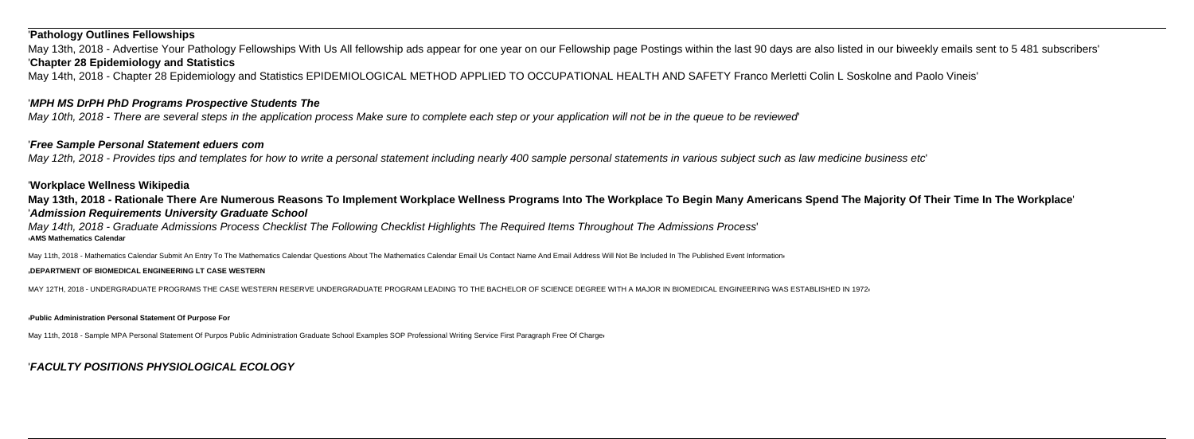#### '**Pathology Outlines Fellowships**

May 13th, 2018 - Advertise Your Pathology Fellowships With Us All fellowship ads appear for one year on our Fellowship page Postings within the last 90 days are also listed in our biweekly emails sent to 5 481 subscribers' '**Chapter 28 Epidemiology and Statistics**

May 14th, 2018 - Chapter 28 Epidemiology and Statistics EPIDEMIOLOGICAL METHOD APPLIED TO OCCUPATIONAL HEALTH AND SAFETY Franco Merletti Colin L Soskolne and Paolo Vineis'

#### '**MPH MS DrPH PhD Programs Prospective Students The**

May 10th, 2018 - There are several steps in the application process Make sure to complete each step or your application will not be in the queue to be reviewed'

#### '**Free Sample Personal Statement eduers com**

May 12th, 2018 - Provides tips and templates for how to write a personal statement including nearly 400 sample personal statements in various subject such as law medicine business etc'

#### '**Workplace Wellness Wikipedia**

**May 13th, 2018 - Rationale There Are Numerous Reasons To Implement Workplace Wellness Programs Into The Workplace To Begin Many Americans Spend The Majority Of Their Time In The Workplace**' '**Admission Requirements University Graduate School**

May 14th, 2018 - Graduate Admissions Process Checklist The Following Checklist Highlights The Required Items Throughout The Admissions Process' '**AMS Mathematics Calendar**

May 11th, 2018 - Mathematics Calendar Submit An Entry To The Mathematics Calendar Questions About The Mathematics Calendar Email Us Contact Name And Email Address Will Not Be Included In The Published Event Information

#### '**DEPARTMENT OF BIOMEDICAL ENGINEERING LT CASE WESTERN**

MAY 12TH, 2018 - UNDERGRADUATE PROGRAMS THE CASE WESTERN RESERVE UNDERGRADUATE PROGRAM LEADING TO THE BACHELOR OF SCIENCE DEGREE WITH A MAJOR IN BIOMEDICAL ENGINEERING WAS ESTABLISHED IN 1972'

#### '**Public Administration Personal Statement Of Purpose For**

May 11th, 2018 - Sample MPA Personal Statement Of Purpos Public Administration Graduate School Examples SOP Professional Writing Service First Paragraph Free Of Charge

### '**FACULTY POSITIONS PHYSIOLOGICAL ECOLOGY**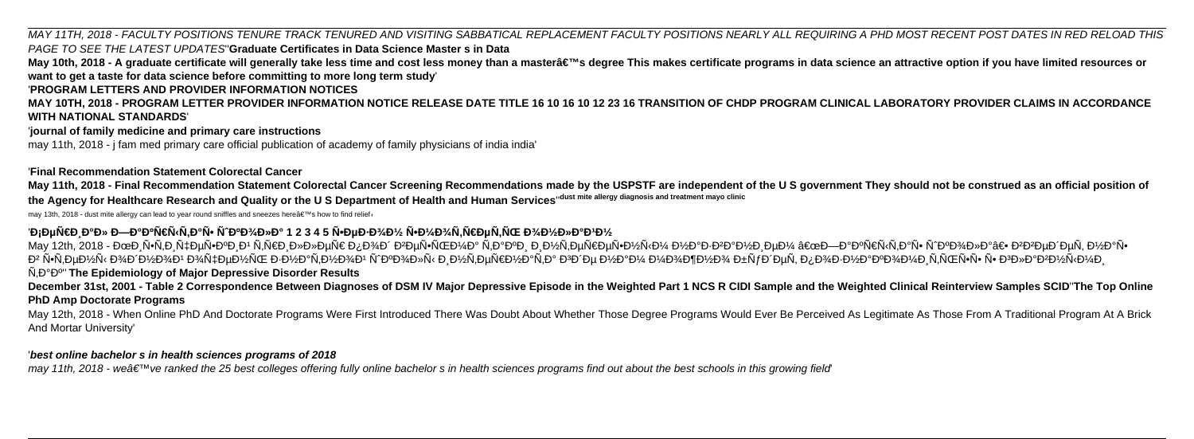MAY 11TH, 2018 - FACULTY POSITIONS TENURE TRACK TENURED AND VISITING SABBATICAL REPLACEMENT FACULTY POSITIONS NEARLY ALL REQUIRING A PHD MOST RECENT POST DATES IN RED RELOAD THIS PAGE TO SEE THE LATEST UPDATES''**Graduate Certificates in Data Science Master s in Data**

May 10th, 2018 - A graduate certificate will generally take less time and cost less money than a mastera€™s degree This makes certificate programs in data science an attractive option if you have limited resources or **want to get a taste for data science before committing to more long term study**'

### '**PROGRAM LETTERS AND PROVIDER INFORMATION NOTICES**

**MAY 10TH, 2018 - PROGRAM LETTER PROVIDER INFORMATION NOTICE RELEASE DATE TITLE 16 10 16 10 12 23 16 TRANSITION OF CHDP PROGRAM CLINICAL LABORATORY PROVIDER CLAIMS IN ACCORDANCE WITH NATIONAL STANDARDS**'

#### '**journal of family medicine and primary care instructions**

may 11th, 2018 - j fam med primary care official publication of academy of family physicians of india india'

### '**Final Recommendation Statement Colorectal Cancer**

**May 11th, 2018 - Final Recommendation Statement Colorectal Cancer Screening Recommendations made by the USPSTF are independent of the U S government They should not be construed as an official position of the Agency for Healthcare Research and Quality or the U S Department of Health and Human Services**''**dust mite allergy diagnosis and treatment mayo clinic**

may 13th, 2018 - dust mite allergy can lead to year round sniffles and sneezes here's how to find relief

## 'Đ<sub>i</sub>еÑ€Đ Đ°Đ» ЗаĐºÑ€Ñ‹Ñ,аÑ• Ñ^ĐºĐ¾Đ»Đ° 1 2 3 4 5 Ñ•ĐµĐ·Đ¾Đ½ Ñ•Đ¼Đ¾Ñ,Ñ€ĐµÑ,ÑŒ Đ¾Đ½Đ»Đ°Đ1Đ½

May 12th, 2018 - ĐœĐ Ñ•Ñ,Đ Ñ‡ĐµÑ•ĐºĐ Đ' Ñ,Ñ€Đ Đ»Đ»ĐµÑ€ Đ¿Đ¾Đ′ ĐºĐµÑ•ÑŒĐ¼Đ° Ñ,аĐºĐ ĐµÑ•Đ½Ñ⋅Đ¼ Đ½Đ°Đ+ĐºĐ½Đ ĐµĐ¼ "ЗаĐºÑ€Ñ‹Ñ,аÑ• Ñ^ĐºĐ¾Đ»Đ°â€• ĐºĐªĐµĐ ĐµÑ, Đ½Đ°Ñ• в бой при тении познатной познатной посложной посложной посложной посложной посложной постой посложной посложной посложной посложность по вередната главными по вередната главными по вередната главными по вередната главны  $\hat{N}, \hat{D}^{\circ} \hat{D}^{\circ}$ " The Epidemiology of Major Depressive Disorder Results

May 12th, 2018 - When Online PhD And Doctorate Programs Were First Introduced There Was Doubt About Whether Those Degree Programs Would Ever Be Perceived As Legitimate As Those From A Traditional Program At A Brick And Mortar University'

**December 31st, 2001 - Table 2 Correspondence Between Diagnoses of DSM IV Major Depressive Episode in the Weighted Part 1 NCS R CIDI Sample and the Weighted Clinical Reinterview Samples SCID**''**The Top Online PhD Amp Doctorate Programs**

### '**best online bachelor s in health sciences programs of 2018**

may 11th, 2018 - weate  $\mathbb{M}$  ve ranked the 25 best colleges offering fully online bachelor s in health sciences programs find out about the best schools in this growing field